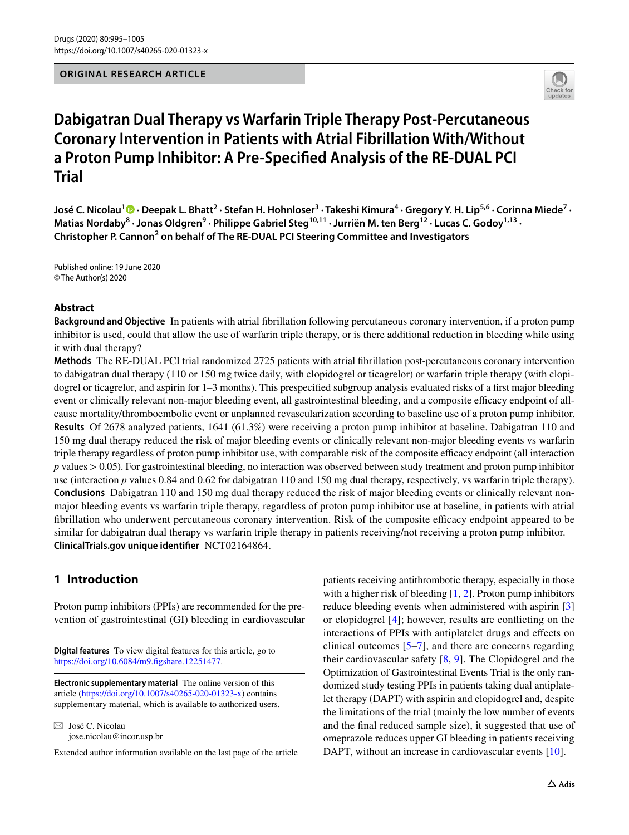**ORIGINAL RESEARCH ARTICLE**



# **Dabigatran Dual Therapy vs Warfarin Triple Therapy Post‑Percutaneous Coronary Intervention in Patients with Atrial Fibrillation With/Without a Proton Pump Inhibitor: A Pre‑Specifed Analysis of the RE‑DUAL PCI Trial**

**José C. Nicolau<sup>1</sup>  [·](http://orcid.org/0000-0002-9680-3689) Deepak L. Bhatt2 · Stefan H. Hohnloser3 · Takeshi Kimura4 · Gregory Y. H. Lip5,6 · Corinna Miede7 ·**  Matias Nordaby<sup>8</sup> · Jonas Oldgren<sup>9</sup> · Philippe Gabriel Steg<sup>10,11</sup> · Jurriën M. ten Berg<sup>12</sup> · Lucas C. Godoy<sup>1,13</sup> · **Christopher P. Cannon<sup>2</sup> on behalf of The RE-DUAL PCI Steering Committee and Investigators**

Published online: 19 June 2020 © The Author(s) 2020

#### **Abstract**

**Background and Objective** In patients with atrial fbrillation following percutaneous coronary intervention, if a proton pump inhibitor is used, could that allow the use of warfarin triple therapy, or is there additional reduction in bleeding while using it with dual therapy?

**Methods** The RE-DUAL PCI trial randomized 2725 patients with atrial fbrillation post-percutaneous coronary intervention to dabigatran dual therapy (110 or 150 mg twice daily, with clopidogrel or ticagrelor) or warfarin triple therapy (with clopidogrel or ticagrelor, and aspirin for 1–3 months). This prespecified subgroup analysis evaluated risks of a first major bleeding event or clinically relevant non-major bleeding event, all gastrointestinal bleeding, and a composite efficacy endpoint of allcause mortality/thromboembolic event or unplanned revascularization according to baseline use of a proton pump inhibitor. **Results** Of 2678 analyzed patients, 1641 (61.3%) were receiving a proton pump inhibitor at baseline. Dabigatran 110 and 150 mg dual therapy reduced the risk of major bleeding events or clinically relevant non-major bleeding events vs warfarin triple therapy regardless of proton pump inhibitor use, with comparable risk of the composite efficacy endpoint (all interaction *p* values > 0.05). For gastrointestinal bleeding, no interaction was observed between study treatment and proton pump inhibitor use (interaction *p* values 0.84 and 0.62 for dabigatran 110 and 150 mg dual therapy, respectively, vs warfarin triple therapy). **Conclusions** Dabigatran 110 and 150 mg dual therapy reduced the risk of major bleeding events or clinically relevant nonmajor bleeding events vs warfarin triple therapy, regardless of proton pump inhibitor use at baseline, in patients with atrial fibrillation who underwent percutaneous coronary intervention. Risk of the composite efficacy endpoint appeared to be similar for dabigatran dual therapy vs warfarin triple therapy in patients receiving/not receiving a proton pump inhibitor. **ClinicalTrials.gov unique identifer** NCT02164864.

# **1 Introduction**

Proton pump inhibitors (PPIs) are recommended for the prevention of gastrointestinal (GI) bleeding in cardiovascular

**Digital features** To view digital features for this article, go to [https://doi.org/10.6084/m9.fgshare.12251477](https://doi.org/10.6084/m9.figshare.12251477).

**Electronic supplementary material** The online version of this article [\(https://doi.org/10.1007/s40265-020-01323-x\)](https://doi.org/10.1007/s40265-020-01323-x) contains supplementary material, which is available to authorized users.

 $\boxtimes$  José C. Nicolau jose.nicolau@incor.usp.br

Extended author information available on the last page of the article

patients receiving antithrombotic therapy, especially in those with a higher risk of bleeding [\[1](#page-8-0), [2\]](#page-8-1). Proton pump inhibitors reduce bleeding events when administered with aspirin [[3\]](#page-8-2) or clopidogrel [\[4](#page-9-0)]; however, results are conficting on the interactions of PPIs with antiplatelet drugs and efects on clinical outcomes [[5](#page-9-1)[–7](#page-9-2)], and there are concerns regarding their cardiovascular safety [[8,](#page-9-3) [9](#page-9-4)]. The Clopidogrel and the Optimization of Gastrointestinal Events Trial is the only randomized study testing PPIs in patients taking dual antiplatelet therapy (DAPT) with aspirin and clopidogrel and, despite the limitations of the trial (mainly the low number of events and the fnal reduced sample size), it suggested that use of omeprazole reduces upper GI bleeding in patients receiving DAPT, without an increase in cardiovascular events [\[10](#page-9-5)].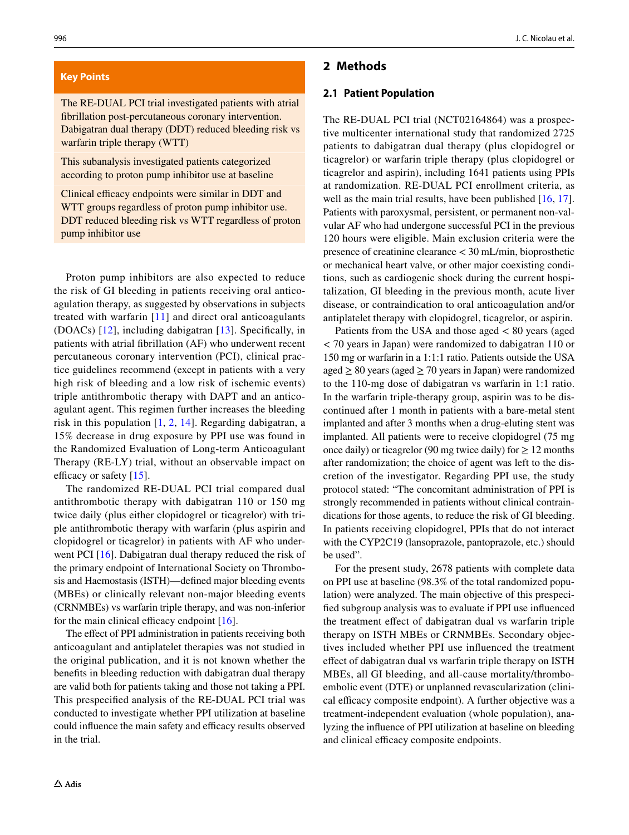#### **Key Points**

The RE-DUAL PCI trial investigated patients with atrial fbrillation post-percutaneous coronary intervention. Dabigatran dual therapy (DDT) reduced bleeding risk vs warfarin triple therapy (WTT)

This subanalysis investigated patients categorized according to proton pump inhibitor use at baseline

Clinical efficacy endpoints were similar in DDT and WTT groups regardless of proton pump inhibitor use. DDT reduced bleeding risk vs WTT regardless of proton pump inhibitor use

Proton pump inhibitors are also expected to reduce the risk of GI bleeding in patients receiving oral anticoagulation therapy, as suggested by observations in subjects treated with warfarin [[11](#page-9-6)] and direct oral anticoagulants (DOACs) [[12](#page-9-7)], including dabigatran [\[13](#page-9-8)]. Specifcally, in patients with atrial fbrillation (AF) who underwent recent percutaneous coronary intervention (PCI), clinical practice guidelines recommend (except in patients with a very high risk of bleeding and a low risk of ischemic events) triple antithrombotic therapy with DAPT and an anticoagulant agent. This regimen further increases the bleeding risk in this population [\[1](#page-8-0), [2](#page-8-1), [14\]](#page-9-9). Regarding dabigatran, a 15% decrease in drug exposure by PPI use was found in the Randomized Evaluation of Long-term Anticoagulant Therapy (RE-LY) trial, without an observable impact on efficacy or safety  $[15]$  $[15]$ .

The randomized RE-DUAL PCI trial compared dual antithrombotic therapy with dabigatran 110 or 150 mg twice daily (plus either clopidogrel or ticagrelor) with triple antithrombotic therapy with warfarin (plus aspirin and clopidogrel or ticagrelor) in patients with AF who under-went PCI [[16\]](#page-9-11). Dabigatran dual therapy reduced the risk of the primary endpoint of International Society on Thrombosis and Haemostasis (ISTH)—defned major bleeding events (MBEs) or clinically relevant non-major bleeding events (CRNMBEs) vs warfarin triple therapy, and was non-inferior for the main clinical efficacy endpoint  $[16]$  $[16]$ .

The effect of PPI administration in patients receiving both anticoagulant and antiplatelet therapies was not studied in the original publication, and it is not known whether the benefts in bleeding reduction with dabigatran dual therapy are valid both for patients taking and those not taking a PPI. This prespecifed analysis of the RE-DUAL PCI trial was conducted to investigate whether PPI utilization at baseline could influence the main safety and efficacy results observed in the trial.

### **2 Methods**

#### **2.1 Patient Population**

The RE-DUAL PCI trial (NCT02164864) was a prospective multicenter international study that randomized 2725 patients to dabigatran dual therapy (plus clopidogrel or ticagrelor) or warfarin triple therapy (plus clopidogrel or ticagrelor and aspirin), including 1641 patients using PPIs at randomization. RE-DUAL PCI enrollment criteria, as well as the main trial results, have been published [\[16](#page-9-11), [17](#page-9-12)]. Patients with paroxysmal, persistent, or permanent non-valvular AF who had undergone successful PCI in the previous 120 hours were eligible. Main exclusion criteria were the presence of creatinine clearance < 30 mL/min, bioprosthetic or mechanical heart valve, or other major coexisting conditions, such as cardiogenic shock during the current hospitalization, GI bleeding in the previous month, acute liver disease, or contraindication to oral anticoagulation and/or antiplatelet therapy with clopidogrel, ticagrelor, or aspirin.

Patients from the USA and those aged < 80 years (aged < 70 years in Japan) were randomized to dabigatran 110 or 150 mg or warfarin in a 1:1:1 ratio. Patients outside the USA aged  $\geq 80$  years (aged  $\geq 70$  years in Japan) were randomized to the 110-mg dose of dabigatran vs warfarin in 1:1 ratio. In the warfarin triple-therapy group, aspirin was to be discontinued after 1 month in patients with a bare-metal stent implanted and after 3 months when a drug-eluting stent was implanted. All patients were to receive clopidogrel (75 mg once daily) or ticagrelor (90 mg twice daily) for  $\geq$  12 months after randomization; the choice of agent was left to the discretion of the investigator. Regarding PPI use, the study protocol stated: "The concomitant administration of PPI is strongly recommended in patients without clinical contraindications for those agents, to reduce the risk of GI bleeding. In patients receiving clopidogrel, PPIs that do not interact with the CYP2C19 (lansoprazole, pantoprazole, etc.) should be used".

For the present study, 2678 patients with complete data on PPI use at baseline (98.3% of the total randomized population) were analyzed. The main objective of this prespecifed subgroup analysis was to evaluate if PPI use infuenced the treatment efect of dabigatran dual vs warfarin triple therapy on ISTH MBEs or CRNMBEs. Secondary objectives included whether PPI use infuenced the treatment efect of dabigatran dual vs warfarin triple therapy on ISTH MBEs, all GI bleeding, and all-cause mortality/thromboembolic event (DTE) or unplanned revascularization (clinical efficacy composite endpoint). A further objective was a treatment-independent evaluation (whole population), analyzing the infuence of PPI utilization at baseline on bleeding and clinical efficacy composite endpoints.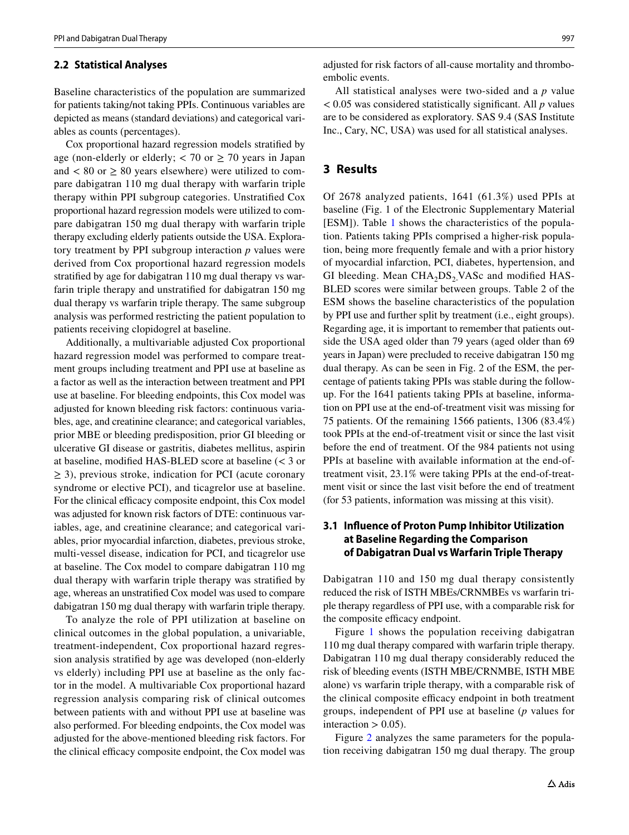#### <span id="page-2-0"></span>**2.2 Statistical Analyses**

Baseline characteristics of the population are summarized for patients taking/not taking PPIs. Continuous variables are depicted as means (standard deviations) and categorical variables as counts (percentages).

Cox proportional hazard regression models stratifed by age (non-elderly or elderly;  $<$  70 or  $\geq$  70 years in Japan and  $< 80$  or  $\geq 80$  years elsewhere) were utilized to compare dabigatran 110 mg dual therapy with warfarin triple therapy within PPI subgroup categories. Unstratifed Cox proportional hazard regression models were utilized to compare dabigatran 150 mg dual therapy with warfarin triple therapy excluding elderly patients outside the USA. Exploratory treatment by PPI subgroup interaction *p* values were derived from Cox proportional hazard regression models stratifed by age for dabigatran 110 mg dual therapy vs warfarin triple therapy and unstratifed for dabigatran 150 mg dual therapy vs warfarin triple therapy. The same subgroup analysis was performed restricting the patient population to patients receiving clopidogrel at baseline.

Additionally, a multivariable adjusted Cox proportional hazard regression model was performed to compare treatment groups including treatment and PPI use at baseline as a factor as well as the interaction between treatment and PPI use at baseline. For bleeding endpoints, this Cox model was adjusted for known bleeding risk factors: continuous variables, age, and creatinine clearance; and categorical variables, prior MBE or bleeding predisposition, prior GI bleeding or ulcerative GI disease or gastritis, diabetes mellitus, aspirin at baseline, modifed HAS-BLED score at baseline (< 3 or  $\geq$  3), previous stroke, indication for PCI (acute coronary syndrome or elective PCI), and ticagrelor use at baseline. For the clinical efficacy composite endpoint, this Cox model was adjusted for known risk factors of DTE: continuous variables, age, and creatinine clearance; and categorical variables, prior myocardial infarction, diabetes, previous stroke, multi-vessel disease, indication for PCI, and ticagrelor use at baseline. The Cox model to compare dabigatran 110 mg dual therapy with warfarin triple therapy was stratifed by age, whereas an unstratifed Cox model was used to compare dabigatran 150 mg dual therapy with warfarin triple therapy.

To analyze the role of PPI utilization at baseline on clinical outcomes in the global population, a univariable, treatment-independent, Cox proportional hazard regression analysis stratifed by age was developed (non-elderly vs elderly) including PPI use at baseline as the only factor in the model. A multivariable Cox proportional hazard regression analysis comparing risk of clinical outcomes between patients with and without PPI use at baseline was also performed. For bleeding endpoints, the Cox model was adjusted for the above-mentioned bleeding risk factors. For the clinical efficacy composite endpoint, the Cox model was

adjusted for risk factors of all-cause mortality and thromboembolic events.

All statistical analyses were two-sided and a *p* value < 0.05 was considered statistically signifcant. All *p* values are to be considered as exploratory. SAS 9.4 (SAS Institute Inc., Cary, NC, USA) was used for all statistical analyses.

#### **3 Results**

Of 2678 analyzed patients, 1641 (61.3%) used PPIs at baseline (Fig. 1 of the Electronic Supplementary Material [ESM]). Table [1](#page-3-0) shows the characteristics of the population. Patients taking PPIs comprised a higher-risk population, being more frequently female and with a prior history of myocardial infarction, PCI, diabetes, hypertension, and GI bleeding. Mean  $CHA<sub>2</sub>DS<sub>2</sub> VASC$  and modified HAS-BLED scores were similar between groups. Table 2 of the ESM shows the baseline characteristics of the population by PPI use and further split by treatment (i.e., eight groups). Regarding age, it is important to remember that patients outside the USA aged older than 79 years (aged older than 69 years in Japan) were precluded to receive dabigatran 150 mg dual therapy. As can be seen in Fig. 2 of the ESM, the percentage of patients taking PPIs was stable during the followup. For the 1641 patients taking PPIs at baseline, information on PPI use at the end-of-treatment visit was missing for 75 patients. Of the remaining 1566 patients, 1306 (83.4%) took PPIs at the end-of-treatment visit or since the last visit before the end of treatment. Of the 984 patients not using PPIs at baseline with available information at the end-oftreatment visit, 23.1% were taking PPIs at the end-of-treatment visit or since the last visit before the end of treatment (for 53 patients, information was missing at this visit).

#### **3.1 Infuence of Proton Pump Inhibitor Utilization at Baseline Regarding the Comparison of Dabigatran Dual vs Warfarin Triple Therapy**

Dabigatran 110 and 150 mg dual therapy consistently reduced the risk of ISTH MBEs/CRNMBEs vs warfarin triple therapy regardless of PPI use, with a comparable risk for the composite efficacy endpoint.

Figure [1](#page-4-0) shows the population receiving dabigatran 110 mg dual therapy compared with warfarin triple therapy. Dabigatran 110 mg dual therapy considerably reduced the risk of bleeding events (ISTH MBE/CRNMBE, ISTH MBE alone) vs warfarin triple therapy, with a comparable risk of the clinical composite efficacy endpoint in both treatment groups, independent of PPI use at baseline (*p* values for interaction  $> 0.05$ ).

Figure [2](#page-6-0) analyzes the same parameters for the population receiving dabigatran 150 mg dual therapy. The group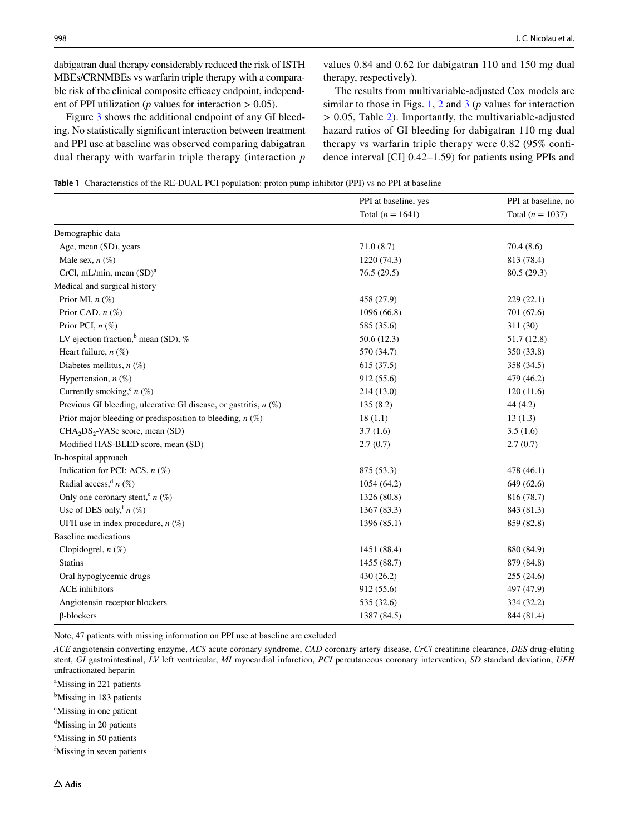dabigatran dual therapy considerably reduced the risk of ISTH MBEs/CRNMBEs vs warfarin triple therapy with a comparable risk of the clinical composite efficacy endpoint, independent of PPI utilization ( $p$  values for interaction  $> 0.05$ ).

Figure [3](#page-6-1) shows the additional endpoint of any GI bleeding. No statistically signifcant interaction between treatment and PPI use at baseline was observed comparing dabigatran dual therapy with warfarin triple therapy (interaction *p* values 0.84 and 0.62 for dabigatran 110 and 150 mg dual therapy, respectively).

The results from multivariable-adjusted Cox models are similar to those in Figs. [1,](#page-4-0) [2](#page-6-0) and [3](#page-6-1) (*p* values for interaction > 0.05, Table [2\)](#page-5-0). Importantly, the multivariable-adjusted hazard ratios of GI bleeding for dabigatran 110 mg dual therapy vs warfarin triple therapy were 0.82 (95% confdence interval [CI] 0.42–1.59) for patients using PPIs and

<span id="page-3-0"></span>**Table 1** Characteristics of the RE-DUAL PCI population: proton pump inhibitor (PPI) vs no PPI at baseline

|                                                                    | PPI at baseline, yes | PPI at baseline, no |  |
|--------------------------------------------------------------------|----------------------|---------------------|--|
|                                                                    | Total $(n = 1641)$   | Total $(n = 1037)$  |  |
| Demographic data                                                   |                      |                     |  |
| Age, mean (SD), years                                              | 71.0(8.7)            | 70.4(8.6)           |  |
| Male sex, $n$ (%)                                                  | 1220 (74.3)          | 813 (78.4)          |  |
| CrCl, mL/min, mean (SD) <sup>a</sup>                               | 76.5(29.5)           | 80.5 (29.3)         |  |
| Medical and surgical history                                       |                      |                     |  |
| Prior MI, $n$ $(\%)$                                               | 458 (27.9)           | 229(22.1)           |  |
| Prior CAD, $n$ $(\%)$                                              | 1096(66.8)           | 701 (67.6)          |  |
| Prior PCI, $n$ (%)                                                 | 585 (35.6)           | 311 (30)            |  |
| LV ejection fraction, <sup>b</sup> mean (SD), %                    | 50.6(12.3)           | 51.7(12.8)          |  |
| Heart failure, $n$ (%)                                             | 570 (34.7)           | 350 (33.8)          |  |
| Diabetes mellitus, $n$ (%)                                         | 615(37.5)            | 358 (34.5)          |  |
| Hypertension, $n$ (%)                                              | 912 (55.6)           | 479 (46.2)          |  |
| Currently smoking, $(n \ (\%)$                                     | 214(13.0)            | 120(11.6)           |  |
| Previous GI bleeding, ulcerative GI disease, or gastritis, $n$ (%) | 135(8.2)             | 44(4.2)             |  |
| Prior major bleeding or predisposition to bleeding, $n$ (%)        | 18(1.1)              | 13(1.3)             |  |
| CHA <sub>2</sub> DS <sub>2</sub> -VASc score, mean (SD)            | 3.7(1.6)             | 3.5(1.6)            |  |
| Modified HAS-BLED score, mean (SD)                                 | 2.7(0.7)             | 2.7(0.7)            |  |
| In-hospital approach                                               |                      |                     |  |
| Indication for PCI: ACS, $n$ (%)                                   | 875 (53.3)           | 478 (46.1)          |  |
| Radial access, $n(\%)$                                             | 1054 (64.2)          | 649 (62.6)          |  |
| Only one coronary stent, <sup>e</sup> $n$ (%)                      | 1326 (80.8)          | 816 (78.7)          |  |
| Use of DES only, $n(\%)$                                           | 1367 (83.3)          | 843 (81.3)          |  |
| UFH use in index procedure, $n$ (%)                                | 1396 (85.1)          | 859 (82.8)          |  |
| <b>Baseline</b> medications                                        |                      |                     |  |
| Clopidogrel, $n$ (%)                                               | 1451 (88.4)          | 880 (84.9)          |  |
| <b>Statins</b>                                                     | 1455 (88.7)          | 879 (84.8)          |  |
| Oral hypoglycemic drugs                                            | 430(26.2)            | 255(24.6)           |  |
| <b>ACE</b> inhibitors                                              | 912 (55.6)           | 497 (47.9)          |  |
| Angiotensin receptor blockers                                      | 535 (32.6)           | 334 (32.2)          |  |
| $\beta$ -blockers                                                  | 1387 (84.5)          | 844 (81.4)          |  |

Note, 47 patients with missing information on PPI use at baseline are excluded

*ACE* angiotensin converting enzyme, *ACS* acute coronary syndrome, *CAD* coronary artery disease, *CrCl* creatinine clearance, *DES* drug-eluting stent, *GI* gastrointestinal, *LV* left ventricular, *MI* myocardial infarction, *PCI* percutaneous coronary intervention, *SD* standard deviation, *UFH* unfractionated heparin

a Missing in 221 patients

- <sup>b</sup>Missing in 183 patients
- c Missing in one patient

<sup>d</sup>Missing in 20 patients

e Missing in 50 patients

f Missing in seven patients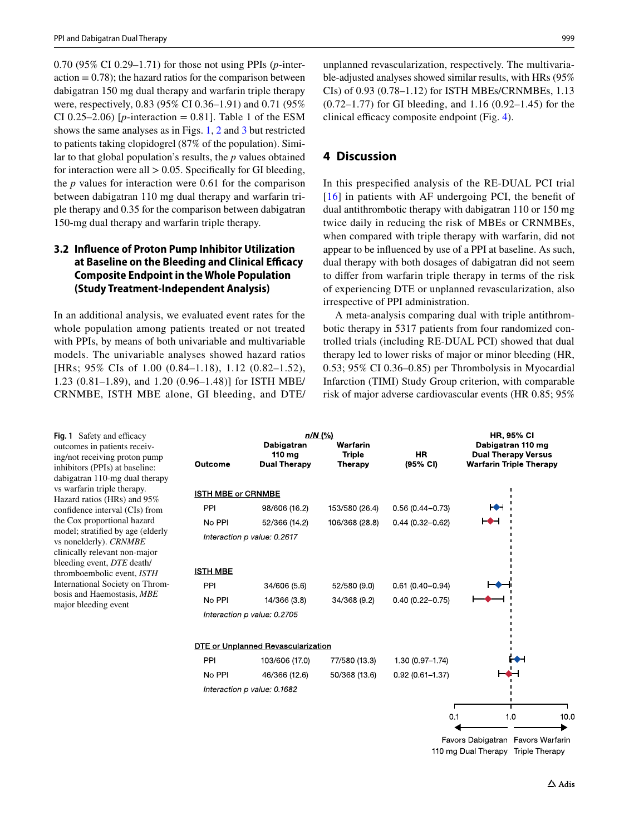0.70 (95% CI 0.29–1.71) for those not using PPIs (*p*-inter $action = 0.78$ ; the hazard ratios for the comparison between dabigatran 150 mg dual therapy and warfarin triple therapy were, respectively, 0.83 (95% CI 0.36–1.91) and 0.71 (95% CI 0.25–2.06) [ $p$ -interaction = 0.81]. Table 1 of the ESM shows the same analyses as in Figs. [1,](#page-4-0) [2](#page-6-0) and [3](#page-6-1) but restricted to patients taking clopidogrel (87% of the population). Similar to that global population's results, the *p* values obtained for interaction were all  $> 0.05$ . Specifically for GI bleeding, the *p* values for interaction were 0.61 for the comparison between dabigatran 110 mg dual therapy and warfarin triple therapy and 0.35 for the comparison between dabigatran 150-mg dual therapy and warfarin triple therapy.

## **3.2 Infuence of Proton Pump Inhibitor Utilization at Baseline on the Bleeding and Clinical Efficacy Composite Endpoint in the Whole Population (Study Treatment‑Independent Analysis)**

In an additional analysis, we evaluated event rates for the whole population among patients treated or not treated with PPIs, by means of both univariable and multivariable models. The univariable analyses showed hazard ratios [HRs; 95% CIs of 1.00 (0.84–1.18), 1.12 (0.82–1.52), 1.23 (0.81–1.89), and 1.20 (0.96–1.48)] for ISTH MBE/ CRNMBE, ISTH MBE alone, GI bleeding, and DTE/ unplanned revascularization, respectively. The multivariable-adjusted analyses showed similar results, with HRs (95% CIs) of 0.93 (0.78–1.12) for ISTH MBEs/CRNMBEs, 1.13 (0.72–1.77) for GI bleeding, and 1.16 (0.92–1.45) for the clinical efficacy composite endpoint (Fig. [4\)](#page-7-0).

## **4 Discussion**

In this prespecifed analysis of the RE-DUAL PCI trial [[16](#page-9-11)] in patients with AF undergoing PCI, the benefit of dual antithrombotic therapy with dabigatran 110 or 150 mg twice daily in reducing the risk of MBEs or CRNMBEs, when compared with triple therapy with warfarin, did not appear to be infuenced by use of a PPI at baseline. As such, dual therapy with both dosages of dabigatran did not seem to difer from warfarin triple therapy in terms of the risk of experiencing DTE or unplanned revascularization, also irrespective of PPI administration.

A meta-analysis comparing dual with triple antithrombotic therapy in 5317 patients from four randomized controlled trials (including RE-DUAL PCI) showed that dual therapy led to lower risks of major or minor bleeding (HR, 0.53; 95% CI 0.36–0.85) per Thrombolysis in Myocardial Infarction (TIMI) Study Group criterion, with comparable risk of major adverse cardiovascular events (HR 0.85; 95%

<span id="page-4-0"></span>Fig. 1 Safety and efficacy outcomes in patients receiving/not receiving proton pump inhibitors (PPIs) at baseline: dabigatran 110-mg dual therapy vs warfarin triple therapy. Hazard ratios (HRs) and 95% confdence interval (CIs) from the Cox proportional hazard model; stratifed by age (elderly vs nonelderly). *CRNMBE* clinically relevant non-major bleeding event, *DTE* death/ thromboembolic event, *ISTH* International Society on Thrombosis and Haemostasis, *MBE* major bleeding event

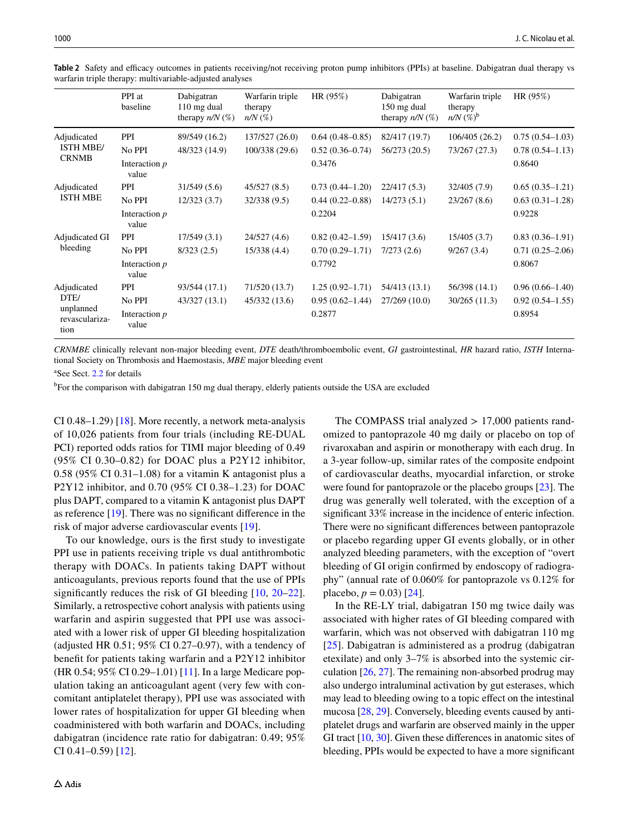|                                                            | PPI at<br>baseline       | Dabigatran<br>110 mg dual<br>therapy $n/N$ (%) | Warfarin triple<br>therapy<br>$n/N$ $(\%)$ | HR(95%)             | Dabigatran<br>150 mg dual<br>therapy $n/N$ (%) | Warfarin triple<br>therapy<br>$n/N$ $(\%)^b$ | HR(95%)             |
|------------------------------------------------------------|--------------------------|------------------------------------------------|--------------------------------------------|---------------------|------------------------------------------------|----------------------------------------------|---------------------|
| Adjudicated<br><b>ISTH MBE/</b><br><b>CRNMB</b>            | <b>PPI</b>               | 89/549 (16.2)                                  | 137/527 (26.0)                             | $0.64(0.48-0.85)$   | 82/417 (19.7)                                  | 106/405 (26.2)                               | $0.75(0.54-1.03)$   |
|                                                            | No PPI                   | 48/323 (14.9)                                  | 100/338 (29.6)                             | $0.52(0.36 - 0.74)$ | 56/273 (20.5)                                  | 73/267 (27.3)                                | $0.78(0.54 - 1.13)$ |
|                                                            | Interaction $p$<br>value |                                                |                                            | 0.3476              |                                                |                                              | 0.8640              |
| Adjudicated<br><b>ISTH MBE</b>                             | <b>PPI</b>               | 31/549(5.6)                                    | 45/527(8.5)                                | $0.73(0.44 - 1.20)$ | 22/417(5.3)                                    | 32/405 (7.9)                                 | $0.65(0.35-1.21)$   |
|                                                            | No PPI                   | 12/323(3.7)                                    | 32/338 (9.5)                               | $0.44(0.22 - 0.88)$ | 14/273(5.1)                                    | 23/267(8.6)                                  | $0.63(0.31-1.28)$   |
|                                                            | Interaction $p$<br>value |                                                |                                            | 0.2204              |                                                |                                              | 0.9228              |
| Adjudicated GI<br>bleeding                                 | <b>PPI</b>               | 17/549(3.1)                                    | 24/527 (4.6)                               | $0.82(0.42 - 1.59)$ | 15/417(3.6)                                    | 15/405(3.7)                                  | $0.83(0.36-1.91)$   |
|                                                            | No PPI                   | 8/323(2.5)                                     | 15/338 (4.4)                               | $0.70(0.29-1.71)$   | 7/273(2.6)                                     | 9/267(3.4)                                   | $0.71(0.25-2.06)$   |
|                                                            | Interaction $p$<br>value |                                                |                                            | 0.7792              |                                                |                                              | 0.8067              |
| Adjudicated<br>DTE/<br>unplanned<br>revasculariza-<br>tion | <b>PPI</b>               | 93/544 (17.1)                                  | 71/520 (13.7)                              | $1.25(0.92 - 1.71)$ | 54/413 (13.1)                                  | 56/398 (14.1)                                | $0.96(0.66 - 1.40)$ |
|                                                            | No PPI                   | 43/327(13.1)                                   | 45/332 (13.6)                              | $0.95(0.62 - 1.44)$ | 27/269(10.0)                                   | 30/265(11.3)                                 | $0.92(0.54 - 1.55)$ |
|                                                            | Interaction $p$<br>value |                                                |                                            | 0.2877              |                                                |                                              | 0.8954              |

<span id="page-5-0"></span>Table 2 Safety and efficacy outcomes in patients receiving/not receiving proton pump inhibitors (PPIs) at baseline. Dabigatran dual therapy vs warfarin triple therapy: multivariable-adjusted analyses

*CRNMBE* clinically relevant non-major bleeding event, *DTE* death/thromboembolic event, *GI* gastrointestinal, *HR* hazard ratio, *ISTH* International Society on Thrombosis and Haemostasis, *MBE* major bleeding event

a See Sect. [2.2](#page-2-0) for details

<sup>b</sup>For the comparison with dabigatran 150 mg dual therapy, elderly patients outside the USA are excluded

CI 0.48–1.29) [[18](#page-9-13)]. More recently, a network meta-analysis of 10,026 patients from four trials (including RE-DUAL PCI) reported odds ratios for TIMI major bleeding of 0.49 (95% CI 0.30–0.82) for DOAC plus a P2Y12 inhibitor, 0.58 (95% CI 0.31–1.08) for a vitamin K antagonist plus a P2Y12 inhibitor, and 0.70 (95% CI 0.38–1.23) for DOAC plus DAPT, compared to a vitamin K antagonist plus DAPT as reference [[19\]](#page-9-14). There was no signifcant diference in the risk of major adverse cardiovascular events [[19](#page-9-14)].

To our knowledge, ours is the frst study to investigate PPI use in patients receiving triple vs dual antithrombotic therapy with DOACs. In patients taking DAPT without anticoagulants, previous reports found that the use of PPIs signifcantly reduces the risk of GI bleeding [[10,](#page-9-5) [20–](#page-9-15)[22](#page-9-16)]. Similarly, a retrospective cohort analysis with patients using warfarin and aspirin suggested that PPI use was associated with a lower risk of upper GI bleeding hospitalization (adjusted HR 0.51; 95% CI 0.27–0.97), with a tendency of beneft for patients taking warfarin and a P2Y12 inhibitor (HR 0.54; 95% CI 0.29–1.01) [[11\]](#page-9-6). In a large Medicare population taking an anticoagulant agent (very few with concomitant antiplatelet therapy), PPI use was associated with lower rates of hospitalization for upper GI bleeding when coadministered with both warfarin and DOACs, including dabigatran (incidence rate ratio for dabigatran: 0.49; 95% CI 0.41–0.59) [\[12](#page-9-7)].

omized to pantoprazole 40 mg daily or placebo on top of rivaroxaban and aspirin or monotherapy with each drug. In a 3-year follow-up, similar rates of the composite endpoint of cardiovascular deaths, myocardial infarction, or stroke were found for pantoprazole or the placebo groups [[23\]](#page-9-17). The drug was generally well tolerated, with the exception of a significant 33% increase in the incidence of enteric infection. There were no signifcant diferences between pantoprazole or placebo regarding upper GI events globally, or in other analyzed bleeding parameters, with the exception of "overt bleeding of GI origin confrmed by endoscopy of radiography" (annual rate of 0.060% for pantoprazole vs 0.12% for placebo,  $p = 0.03$  [\[24](#page-9-18)]. In the RE-LY trial, dabigatran 150 mg twice daily was

The COMPASS trial analyzed  $> 17,000$  patients rand-

associated with higher rates of GI bleeding compared with warfarin, which was not observed with dabigatran 110 mg [[25\]](#page-9-19). Dabigatran is administered as a prodrug (dabigatran etexilate) and only 3–7% is absorbed into the systemic circulation [[26,](#page-9-20) [27](#page-9-21)]. The remaining non-absorbed prodrug may also undergo intraluminal activation by gut esterases, which may lead to bleeding owing to a topic efect on the intestinal mucosa [[28,](#page-9-22) [29](#page-9-23)]. Conversely, bleeding events caused by antiplatelet drugs and warfarin are observed mainly in the upper GI tract [[10,](#page-9-5) [30](#page-9-24)]. Given these diferences in anatomic sites of bleeding, PPIs would be expected to have a more signifcant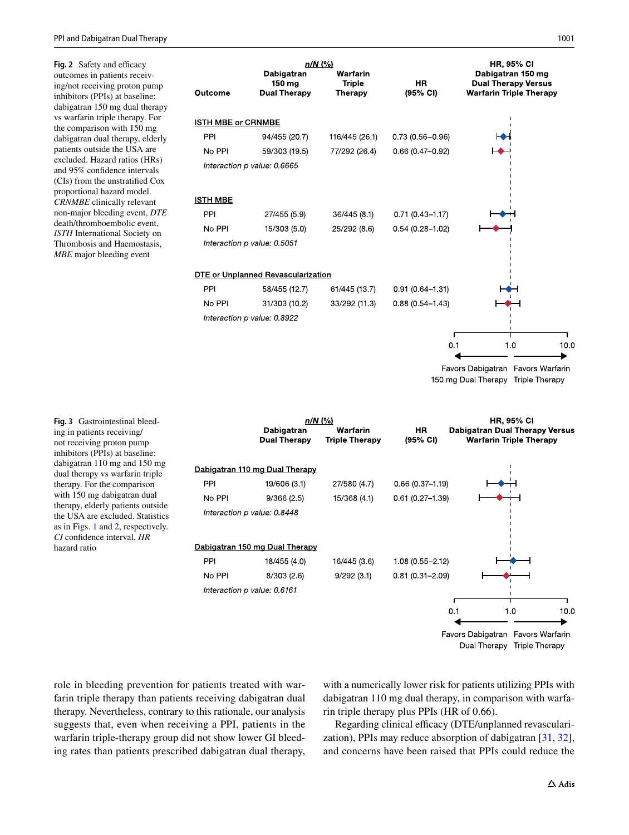<span id="page-6-0"></span>**Fig. 2** Safety and efficacy outcomes in patients receiving/not receiving proton pump inhibitors (PPIs) at baseline: dabigatran 150 mg dual therapy vs warfarin triple therapy. For the comparison with 150 mg dabigatran dual therapy, elderly patients outside the USA are excluded. Hazard ratios (HRs) and 95% confdence intervals (CIs) from the unstratifed Cox proportional hazard model. *CRNMBE* clinically relevant non-major bleeding event, *DTE* death/thromboembolic event, *ISTH* International Society on Thrombosis and Haemostasis, *MBE* major bleeding event



<span id="page-6-1"></span>**Fig. 3** Gastrointestinal bleeding in patients receiving/ not receiving proton pump inhibitors (PPIs) at baseline: dabigatran 110 mg and 150 mg dual therapy vs warfarin triple therapy. For the comparison with 150 mg dabigatran dual therapy, elderly patients outside the USA are excluded. Statistics as in Figs. [1](#page-4-0) and [2,](#page-6-0) respectively. *CI* confdence interval, *HR* hazard ratio

 $n/N$  (%) **HR, 95% CI** Dabigatran Warfarin **HR Dabigatran Dual Therapy Versus Dual Therapy Triple Therapy** (95% CI) **Warfarin Triple Therapy** Dabigatran 110 mg Dual Therapy PPI 19/606 (3.1) 27/580 (4.7)  $0.66(0.37 - 1.19)$ No PPI 15/368 (4.1)  $0.61(0.27 - 1.39)$  $9/366(2.5)$ Interaction p value: 0.8448 Dabigatran 150 mg Dual Therapy PPI 18/455 (4.0) 16/445 (3.6)  $1.08(0.55 - 2.12)$ No PPI 8/303 (2.6)  $9/292(3.1)$ 0.81 (0.31-2.09) Interaction p value: 0.6161  $0.1$  $10.0$  $1.0$ Favors Dabigatran Favors Warfarin



role in bleeding prevention for patients treated with warfarin triple therapy than patients receiving dabigatran dual therapy. Nevertheless, contrary to this rationale, our analysis suggests that, even when receiving a PPI, patients in the warfarin triple-therapy group did not show lower GI bleeding rates than patients prescribed dabigatran dual therapy, with a numerically lower risk for patients utilizing PPIs with dabigatran 110 mg dual therapy, in comparison with warfarin triple therapy plus PPIs (HR of 0.66).

Regarding clinical efficacy (DTE/unplanned revascularization), PPIs may reduce absorption of dabigatran [\[31](#page-9-25), [32](#page-9-26)], and concerns have been raised that PPIs could reduce the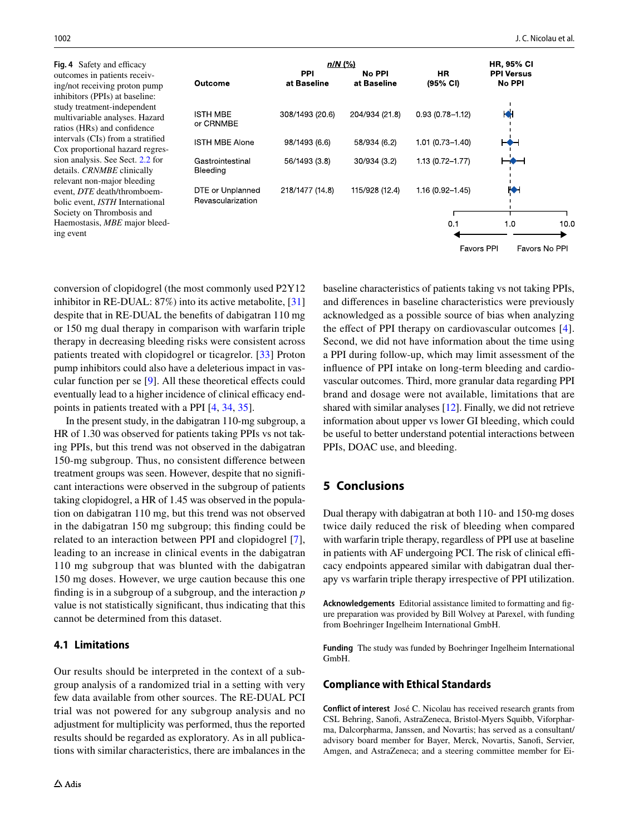<span id="page-7-0"></span>**Fig. 4** Safety and efficacy outcomes in patients receiving/not receiving proton pump inhibitors (PPIs) at baseline: study treatment-independent multivariable analyses. Hazard ratios (HRs) and confdence intervals (CIs) from a stratifed Cox proportional hazard regression analysis. See Sect. [2.2](#page-2-0) for details. *CRNMBE* clinically relevant non-major bleeding event, *DTE* death/thromboembolic event, *ISTH* International Society on Thrombosis and Haemostasis, *MBE* major bleeding event

| <b>Outcome</b>                        | $n/N$ (%)<br><b>PPI</b><br>at Baseline | No PPI<br>at Baseline | HR.<br>$(95% \text{ CI})$ | <b>HR, 95% CI</b><br><b>PPI Versus</b><br>No PPI |      |
|---------------------------------------|----------------------------------------|-----------------------|---------------------------|--------------------------------------------------|------|
| <b>ISTH MBE</b><br>or CRNMBE          | 308/1493 (20.6)                        | 204/934 (21.8)        | $0.93(0.78 - 1.12)$       | п.<br>Н                                          |      |
| <b>ISTH MBE Alone</b>                 | 98/1493 (6.6)                          | 58/934 (6.2)          | $1.01(0.73 - 1.40)$       |                                                  |      |
| Gastrointestinal<br>Bleeding          | 56/1493 (3.8)                          | 30/934 (3.2)          | $1.13(0.72 - 1.77)$       |                                                  |      |
| DTE or Unplanned<br>Revascularization | 218/1477 (14.8)                        | 115/928 (12.4)        | 1.16 (0.92-1.45)          | ĶN                                               |      |
|                                       |                                        |                       | 0.1                       | 1.0                                              | 10.0 |
|                                       |                                        |                       | <b>Favors PPI</b>         | Favors No PPI                                    |      |

conversion of clopidogrel (the most commonly used P2Y12 inhibitor in RE-DUAL: 87%) into its active metabolite, [[31\]](#page-9-25) despite that in RE-DUAL the benefts of dabigatran 110 mg or 150 mg dual therapy in comparison with warfarin triple therapy in decreasing bleeding risks were consistent across patients treated with clopidogrel or ticagrelor. [[33](#page-9-27)] Proton pump inhibitors could also have a deleterious impact in vascular function per se [[9](#page-9-4)]. All these theoretical efects could eventually lead to a higher incidence of clinical efficacy endpoints in patients treated with a PPI [\[4](#page-9-0), [34](#page-10-0), [35](#page-10-1)].

In the present study, in the dabigatran 110-mg subgroup, a HR of 1.30 was observed for patients taking PPIs vs not taking PPIs, but this trend was not observed in the dabigatran 150-mg subgroup. Thus, no consistent diference between treatment groups was seen. However, despite that no signifcant interactions were observed in the subgroup of patients taking clopidogrel, a HR of 1.45 was observed in the population on dabigatran 110 mg, but this trend was not observed in the dabigatran 150 mg subgroup; this fnding could be related to an interaction between PPI and clopidogrel [\[7](#page-9-2)], leading to an increase in clinical events in the dabigatran 110 mg subgroup that was blunted with the dabigatran 150 mg doses. However, we urge caution because this one fnding is in a subgroup of a subgroup, and the interaction *p* value is not statistically signifcant, thus indicating that this cannot be determined from this dataset.

#### **4.1 Limitations**

Our results should be interpreted in the context of a subgroup analysis of a randomized trial in a setting with very few data available from other sources. The RE-DUAL PCI trial was not powered for any subgroup analysis and no adjustment for multiplicity was performed, thus the reported results should be regarded as exploratory. As in all publications with similar characteristics, there are imbalances in the baseline characteristics of patients taking vs not taking PPIs, and diferences in baseline characteristics were previously acknowledged as a possible source of bias when analyzing the effect of PPI therapy on cardiovascular outcomes [[4](#page-9-0)]. Second, we did not have information about the time using a PPI during follow-up, which may limit assessment of the infuence of PPI intake on long-term bleeding and cardiovascular outcomes. Third, more granular data regarding PPI brand and dosage were not available, limitations that are shared with similar analyses [[12\]](#page-9-7). Finally, we did not retrieve information about upper vs lower GI bleeding, which could be useful to better understand potential interactions between PPIs, DOAC use, and bleeding.

# **5 Conclusions**

Dual therapy with dabigatran at both 110- and 150-mg doses twice daily reduced the risk of bleeding when compared with warfarin triple therapy, regardless of PPI use at baseline in patients with AF undergoing PCI. The risk of clinical efficacy endpoints appeared similar with dabigatran dual therapy vs warfarin triple therapy irrespective of PPI utilization.

**Acknowledgements** Editorial assistance limited to formatting and fgure preparation was provided by Bill Wolvey at Parexel, with funding from Boehringer Ingelheim International GmbH.

**Funding** The study was funded by Boehringer Ingelheim International GmbH.

#### **Compliance with Ethical Standards**

**Conflict of interest** José C. Nicolau has received research grants from CSL Behring, Sanof, AstraZeneca, Bristol-Myers Squibb, Viforpharma, Dalcorpharma, Janssen, and Novartis; has served as a consultant/ advisory board member for Bayer, Merck, Novartis, Sanof, Servier, Amgen, and AstraZeneca; and a steering committee member for Ei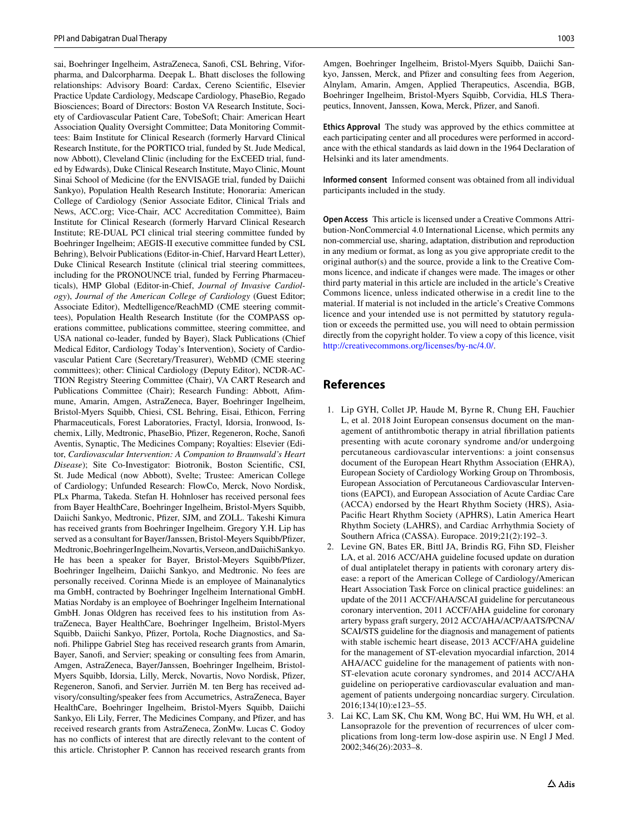sai, Boehringer Ingelheim, AstraZeneca, Sanof, CSL Behring, Viforpharma, and Dalcorpharma. Deepak L. Bhatt discloses the following relationships: Advisory Board: Cardax, Cereno Scientifc, Elsevier Practice Update Cardiology, Medscape Cardiology, PhaseBio, Regado Biosciences; Board of Directors: Boston VA Research Institute, Society of Cardiovascular Patient Care, TobeSoft; Chair: American Heart Association Quality Oversight Committee; Data Monitoring Committees: Baim Institute for Clinical Research (formerly Harvard Clinical Research Institute, for the PORTICO trial, funded by St. Jude Medical, now Abbott), Cleveland Clinic (including for the ExCEED trial, funded by Edwards), Duke Clinical Research Institute, Mayo Clinic, Mount Sinai School of Medicine (for the ENVISAGE trial, funded by Daiichi Sankyo), Population Health Research Institute; Honoraria: American College of Cardiology (Senior Associate Editor, Clinical Trials and News, ACC.org; Vice-Chair, ACC Accreditation Committee), Baim Institute for Clinical Research (formerly Harvard Clinical Research Institute; RE-DUAL PCI clinical trial steering committee funded by Boehringer Ingelheim; AEGIS-II executive committee funded by CSL Behring), Belvoir Publications (Editor-in-Chief, Harvard Heart Letter), Duke Clinical Research Institute (clinical trial steering committees, including for the PRONOUNCE trial, funded by Ferring Pharmaceuticals), HMP Global (Editor-in-Chief, *Journal of Invasive Cardiology*), *Journal of the American College of Cardiology* (Guest Editor; Associate Editor), Medtelligence/ReachMD (CME steering committees), Population Health Research Institute (for the COMPASS operations committee, publications committee, steering committee, and USA national co-leader, funded by Bayer), Slack Publications (Chief Medical Editor, Cardiology Today's Intervention), Society of Cardiovascular Patient Care (Secretary/Treasurer), WebMD (CME steering committees); other: Clinical Cardiology (Deputy Editor), NCDR-AC-TION Registry Steering Committee (Chair), VA CART Research and Publications Committee (Chair); Research Funding: Abbott, Afmmune, Amarin, Amgen, AstraZeneca, Bayer, Boehringer Ingelheim, Bristol-Myers Squibb, Chiesi, CSL Behring, Eisai, Ethicon, Ferring Pharmaceuticals, Forest Laboratories, Fractyl, Idorsia, Ironwood, Ischemix, Lilly, Medtronic, PhaseBio, Pfzer, Regeneron, Roche, Sanof Aventis, Synaptic, The Medicines Company; Royalties: Elsevier (Editor, *Cardiovascular Intervention: A Companion to Braunwald's Heart Disease*); Site Co-Investigator: Biotronik, Boston Scientifc, CSI, St. Jude Medical (now Abbott), Svelte; Trustee: American College of Cardiology; Unfunded Research: FlowCo, Merck, Novo Nordisk, PLx Pharma, Takeda. Stefan H. Hohnloser has received personal fees from Bayer HealthCare, Boehringer Ingelheim, Bristol-Myers Squibb, Daiichi Sankyo, Medtronic, Pfzer, SJM, and ZOLL. Takeshi Kimura has received grants from Boehringer Ingelheim. Gregory Y.H. Lip has served as a consultant for Bayer/Janssen, Bristol-Meyers Squibb/Pfzer, Medtronic, Boehringer Ingelheim, Novartis, Verseon, and Daiichi Sankyo. He has been a speaker for Bayer, Bristol-Meyers Squibb/Pfzer, Boehringer Ingelheim, Daiichi Sankyo, and Medtronic. No fees are personally received. Corinna Miede is an employee of Mainanalytics ma GmbH, contracted by Boehringer Ingelheim International GmbH. Matias Nordaby is an employee of Boehringer Ingelheim International GmbH. Jonas Oldgren has received fees to his institution from AstraZeneca, Bayer HealthCare, Boehringer Ingelheim, Bristol-Myers Squibb, Daiichi Sankyo, Pfizer, Portola, Roche Diagnostics, and Sanof. Philippe Gabriel Steg has received research grants from Amarin, Bayer, Sanof, and Servier; speaking or consulting fees from Amarin, Amgen, AstraZeneca, Bayer/Janssen, Boehringer Ingelheim, Bristol-Myers Squibb, Idorsia, Lilly, Merck, Novartis, Novo Nordisk, Pfizer, Regeneron, Sanof, and Servier. Jurriën M. ten Berg has received advisory/consulting/speaker fees from Accumetrics, AstraZeneca, Bayer HealthCare, Boehringer Ingelheim, Bristol-Myers Squibb, Daiichi Sankyo, Eli Lily, Ferrer, The Medicines Company, and Pfizer, and has received research grants from AstraZeneca, ZonMw. Lucas C. Godoy has no conficts of interest that are directly relevant to the content of this article. Christopher P. Cannon has received research grants from

Amgen, Boehringer Ingelheim, Bristol-Myers Squibb, Daiichi Sankyo, Janssen, Merck, and Pfizer and consulting fees from Aegerion, Alnylam, Amarin, Amgen, Applied Therapeutics, Ascendia, BGB, Boehringer Ingelheim, Bristol-Myers Squibb, Corvidia, HLS Therapeutics, Innovent, Janssen, Kowa, Merck, Pfizer, and Sanofi.

**Ethics Approval** The study was approved by the ethics committee at each participating center and all procedures were performed in accordance with the ethical standards as laid down in the 1964 Declaration of Helsinki and its later amendments.

**Informed consent** Informed consent was obtained from all individual participants included in the study.

**Open Access** This article is licensed under a Creative Commons Attribution-NonCommercial 4.0 International License, which permits any non-commercial use, sharing, adaptation, distribution and reproduction in any medium or format, as long as you give appropriate credit to the original author(s) and the source, provide a link to the Creative Commons licence, and indicate if changes were made. The images or other third party material in this article are included in the article's Creative Commons licence, unless indicated otherwise in a credit line to the material. If material is not included in the article's Creative Commons licence and your intended use is not permitted by statutory regulation or exceeds the permitted use, you will need to obtain permission directly from the copyright holder. To view a copy of this licence, visit <http://creativecommons.org/licenses/by-nc/4.0/>.

#### **References**

- <span id="page-8-0"></span>1. Lip GYH, Collet JP, Haude M, Byrne R, Chung EH, Fauchier L, et al. 2018 Joint European consensus document on the management of antithrombotic therapy in atrial fbrillation patients presenting with acute coronary syndrome and/or undergoing percutaneous cardiovascular interventions: a joint consensus document of the European Heart Rhythm Association (EHRA), European Society of Cardiology Working Group on Thrombosis, European Association of Percutaneous Cardiovascular Interventions (EAPCI), and European Association of Acute Cardiac Care (ACCA) endorsed by the Heart Rhythm Society (HRS), Asia-Pacifc Heart Rhythm Society (APHRS), Latin America Heart Rhythm Society (LAHRS), and Cardiac Arrhythmia Society of Southern Africa (CASSA). Europace. 2019;21(2):192–3.
- <span id="page-8-1"></span>2. Levine GN, Bates ER, Bittl JA, Brindis RG, Fihn SD, Fleisher LA, et al. 2016 ACC/AHA guideline focused update on duration of dual antiplatelet therapy in patients with coronary artery disease: a report of the American College of Cardiology/American Heart Association Task Force on clinical practice guidelines: an update of the 2011 ACCF/AHA/SCAI guideline for percutaneous coronary intervention, 2011 ACCF/AHA guideline for coronary artery bypass graft surgery, 2012 ACC/AHA/ACP/AATS/PCNA/ SCAI/STS guideline for the diagnosis and management of patients with stable ischemic heart disease, 2013 ACCF/AHA guideline for the management of ST-elevation myocardial infarction, 2014 AHA/ACC guideline for the management of patients with non-ST-elevation acute coronary syndromes, and 2014 ACC/AHA guideline on perioperative cardiovascular evaluation and management of patients undergoing noncardiac surgery. Circulation. 2016;134(10):e123–55.
- <span id="page-8-2"></span>3. Lai KC, Lam SK, Chu KM, Wong BC, Hui WM, Hu WH, et al. Lansoprazole for the prevention of recurrences of ulcer complications from long-term low-dose aspirin use. N Engl J Med. 2002;346(26):2033–8.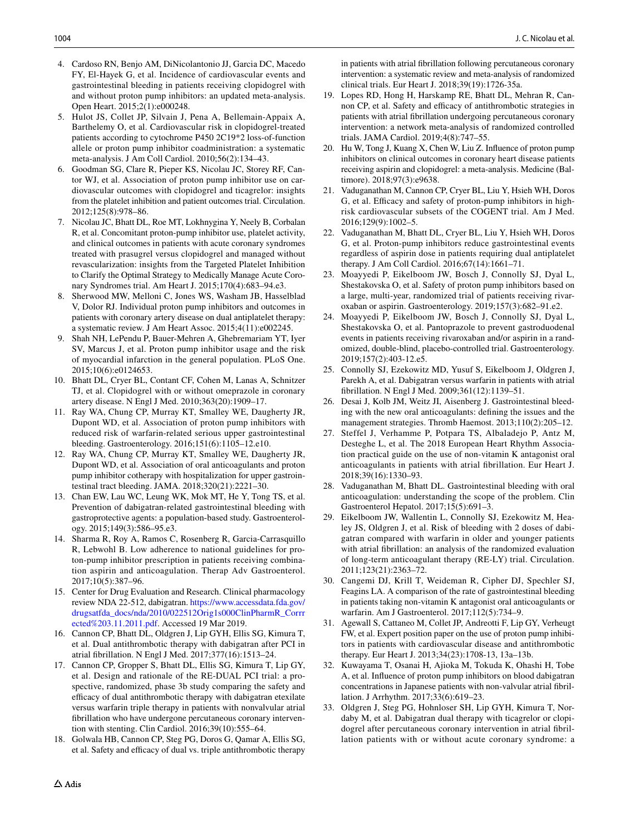- <span id="page-9-0"></span>4. Cardoso RN, Benjo AM, DiNicolantonio JJ, Garcia DC, Macedo FY, El-Hayek G, et al. Incidence of cardiovascular events and gastrointestinal bleeding in patients receiving clopidogrel with and without proton pump inhibitors: an updated meta-analysis. Open Heart. 2015;2(1):e000248.
- <span id="page-9-1"></span>5. Hulot JS, Collet JP, Silvain J, Pena A, Bellemain-Appaix A, Barthelemy O, et al. Cardiovascular risk in clopidogrel-treated patients according to cytochrome P450 2C19\*2 loss-of-function allele or proton pump inhibitor coadministration: a systematic meta-analysis. J Am Coll Cardiol. 2010;56(2):134–43.
- 6. Goodman SG, Clare R, Pieper KS, Nicolau JC, Storey RF, Cantor WJ, et al. Association of proton pump inhibitor use on cardiovascular outcomes with clopidogrel and ticagrelor: insights from the platelet inhibition and patient outcomes trial. Circulation. 2012;125(8):978–86.
- <span id="page-9-2"></span>7. Nicolau JC, Bhatt DL, Roe MT, Lokhnygina Y, Neely B, Corbalan R, et al. Concomitant proton-pump inhibitor use, platelet activity, and clinical outcomes in patients with acute coronary syndromes treated with prasugrel versus clopidogrel and managed without revascularization: insights from the Targeted Platelet Inhibition to Clarify the Optimal Strategy to Medically Manage Acute Coronary Syndromes trial. Am Heart J. 2015;170(4):683–94.e3.
- <span id="page-9-3"></span>8. Sherwood MW, Melloni C, Jones WS, Washam JB, Hasselblad V, Dolor RJ. Individual proton pump inhibitors and outcomes in patients with coronary artery disease on dual antiplatelet therapy: a systematic review. J Am Heart Assoc. 2015;4(11):e002245.
- <span id="page-9-4"></span>9. Shah NH, LePendu P, Bauer-Mehren A, Ghebremariam YT, Iyer SV, Marcus J, et al. Proton pump inhibitor usage and the risk of myocardial infarction in the general population. PLoS One. 2015;10(6):e0124653.
- <span id="page-9-5"></span>10. Bhatt DL, Cryer BL, Contant CF, Cohen M, Lanas A, Schnitzer TJ, et al. Clopidogrel with or without omeprazole in coronary artery disease. N Engl J Med. 2010;363(20):1909–17.
- <span id="page-9-6"></span>11. Ray WA, Chung CP, Murray KT, Smalley WE, Daugherty JR, Dupont WD, et al. Association of proton pump inhibitors with reduced risk of warfarin-related serious upper gastrointestinal bleeding. Gastroenterology. 2016;151(6):1105–12.e10.
- <span id="page-9-7"></span>12. Ray WA, Chung CP, Murray KT, Smalley WE, Daugherty JR, Dupont WD, et al. Association of oral anticoagulants and proton pump inhibitor cotherapy with hospitalization for upper gastrointestinal tract bleeding. JAMA. 2018;320(21):2221–30.
- <span id="page-9-8"></span>13. Chan EW, Lau WC, Leung WK, Mok MT, He Y, Tong TS, et al. Prevention of dabigatran-related gastrointestinal bleeding with gastroprotective agents: a population-based study. Gastroenterology. 2015;149(3):586–95.e3.
- <span id="page-9-9"></span>14. Sharma R, Roy A, Ramos C, Rosenberg R, Garcia-Carrasquillo R, Lebwohl B. Low adherence to national guidelines for proton-pump inhibitor prescription in patients receiving combination aspirin and anticoagulation. Therap Adv Gastroenterol. 2017;10(5):387–96.
- <span id="page-9-10"></span>15. Center for Drug Evaluation and Research. Clinical pharmacology review NDA 22-512, dabigatran. [https://www.accessdata.fda.gov/](https://www.accessdata.fda.gov/drugsatfda_docs/nda/2010/022512Orig1s000ClinPharmR_Corrrected%203.11.2011.pdf) [drugsatfda\\_docs/nda/2010/022512Orig1s000ClinPharmR\\_Corrr](https://www.accessdata.fda.gov/drugsatfda_docs/nda/2010/022512Orig1s000ClinPharmR_Corrrected%203.11.2011.pdf) [ected%203.11.2011.pdf](https://www.accessdata.fda.gov/drugsatfda_docs/nda/2010/022512Orig1s000ClinPharmR_Corrrected%203.11.2011.pdf). Accessed 19 Mar 2019.
- <span id="page-9-11"></span>16. Cannon CP, Bhatt DL, Oldgren J, Lip GYH, Ellis SG, Kimura T, et al. Dual antithrombotic therapy with dabigatran after PCI in atrial fbrillation. N Engl J Med. 2017;377(16):1513–24.
- <span id="page-9-12"></span>17. Cannon CP, Gropper S, Bhatt DL, Ellis SG, Kimura T, Lip GY, et al. Design and rationale of the RE-DUAL PCI trial: a prospective, randomized, phase 3b study comparing the safety and efficacy of dual antithrombotic therapy with dabigatran etexilate versus warfarin triple therapy in patients with nonvalvular atrial fbrillation who have undergone percutaneous coronary intervention with stenting. Clin Cardiol. 2016;39(10):555–64.
- <span id="page-9-13"></span>18. Golwala HB, Cannon CP, Steg PG, Doros G, Qamar A, Ellis SG, et al. Safety and efficacy of dual vs. triple antithrombotic therapy

in patients with atrial fbrillation following percutaneous coronary intervention: a systematic review and meta-analysis of randomized clinical trials. Eur Heart J. 2018;39(19):1726-35a.

- <span id="page-9-14"></span>19. Lopes RD, Hong H, Harskamp RE, Bhatt DL, Mehran R, Cannon CP, et al. Safety and efficacy of antithrombotic strategies in patients with atrial fbrillation undergoing percutaneous coronary intervention: a network meta-analysis of randomized controlled trials. JAMA Cardiol. 2019;4(8):747–55.
- <span id="page-9-15"></span>20. Hu W, Tong J, Kuang X, Chen W, Liu Z. Infuence of proton pump inhibitors on clinical outcomes in coronary heart disease patients receiving aspirin and clopidogrel: a meta-analysis. Medicine (Baltimore). 2018;97(3):e9638.
- 21. Vaduganathan M, Cannon CP, Cryer BL, Liu Y, Hsieh WH, Doros G, et al. Efficacy and safety of proton-pump inhibitors in highrisk cardiovascular subsets of the COGENT trial. Am J Med. 2016;129(9):1002–5.
- <span id="page-9-16"></span>22. Vaduganathan M, Bhatt DL, Cryer BL, Liu Y, Hsieh WH, Doros G, et al. Proton-pump inhibitors reduce gastrointestinal events regardless of aspirin dose in patients requiring dual antiplatelet therapy. J Am Coll Cardiol. 2016;67(14):1661–71.
- <span id="page-9-17"></span>23. Moayyedi P, Eikelboom JW, Bosch J, Connolly SJ, Dyal L, Shestakovska O, et al. Safety of proton pump inhibitors based on a large, multi-year, randomized trial of patients receiving rivaroxaban or aspirin. Gastroenterology. 2019;157(3):682–91.e2.
- <span id="page-9-18"></span>24. Moayyedi P, Eikelboom JW, Bosch J, Connolly SJ, Dyal L, Shestakovska O, et al. Pantoprazole to prevent gastroduodenal events in patients receiving rivaroxaban and/or aspirin in a randomized, double-blind, placebo-controlled trial. Gastroenterology. 2019;157(2):403-12.e5.
- <span id="page-9-19"></span>25. Connolly SJ, Ezekowitz MD, Yusuf S, Eikelboom J, Oldgren J, Parekh A, et al. Dabigatran versus warfarin in patients with atrial fbrillation. N Engl J Med. 2009;361(12):1139–51.
- <span id="page-9-20"></span>26. Desai J, Kolb JM, Weitz JI, Aisenberg J. Gastrointestinal bleeding with the new oral anticoagulants: defning the issues and the management strategies. Thromb Haemost. 2013;110(2):205–12.
- <span id="page-9-21"></span>27. Steffel J, Verhamme P, Potpara TS, Albaladejo P, Antz M, Desteghe L, et al. The 2018 European Heart Rhythm Association practical guide on the use of non-vitamin K antagonist oral anticoagulants in patients with atrial fbrillation. Eur Heart J. 2018;39(16):1330–93.
- <span id="page-9-22"></span>28. Vaduganathan M, Bhatt DL. Gastrointestinal bleeding with oral anticoagulation: understanding the scope of the problem. Clin Gastroenterol Hepatol. 2017;15(5):691–3.
- <span id="page-9-23"></span>29. Eikelboom JW, Wallentin L, Connolly SJ, Ezekowitz M, Healey JS, Oldgren J, et al. Risk of bleeding with 2 doses of dabigatran compared with warfarin in older and younger patients with atrial fbrillation: an analysis of the randomized evaluation of long-term anticoagulant therapy (RE-LY) trial. Circulation. 2011;123(21):2363–72.
- <span id="page-9-24"></span>30. Cangemi DJ, Krill T, Weideman R, Cipher DJ, Spechler SJ, Feagins LA. A comparison of the rate of gastrointestinal bleeding in patients taking non-vitamin K antagonist oral anticoagulants or warfarin. Am J Gastroenterol. 2017;112(5):734–9.
- <span id="page-9-25"></span>31. Agewall S, Cattaneo M, Collet JP, Andreotti F, Lip GY, Verheugt FW, et al. Expert position paper on the use of proton pump inhibitors in patients with cardiovascular disease and antithrombotic therapy. Eur Heart J. 2013;34(23):1708-13, 13a–13b.
- <span id="page-9-26"></span>32. Kuwayama T, Osanai H, Ajioka M, Tokuda K, Ohashi H, Tobe A, et al. Infuence of proton pump inhibitors on blood dabigatran concentrations in Japanese patients with non-valvular atrial fbrillation. J Arrhythm. 2017;33(6):619–23.
- <span id="page-9-27"></span>33. Oldgren J, Steg PG, Hohnloser SH, Lip GYH, Kimura T, Nordaby M, et al. Dabigatran dual therapy with ticagrelor or clopidogrel after percutaneous coronary intervention in atrial fbrillation patients with or without acute coronary syndrome: a